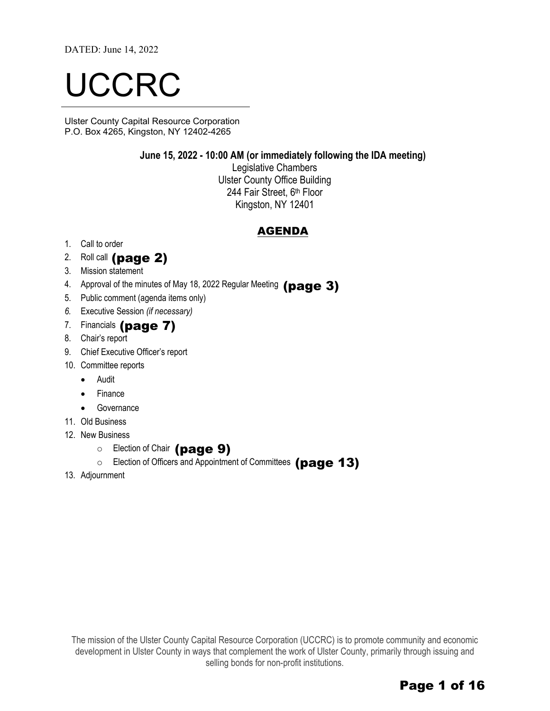DATED: June 14, 2022

# UCCRC

Ulster County Capital Resource Corporation P.O. Box 4265, Kingston, NY 12402-4265

#### **June 15, 2022 - 10:00 AM (or immediately following the IDA meeting)**

Legislative Chambers Ulster County Office Building 244 Fair Street, 6th Floor Kingston, NY 12401

#### AGENDA

- 1. Call to order
- 2. Roll call  $(page 2)$
- 3. Mission statement
- 4. Approval of the minutes of May 18, 2022 Regular Meeting  $(page~3)$
- 5. Public comment (agenda items only)
- *6.* Executive Session *(if necessary)*
- 7. Financials (page 7)
- 8. Chair's report
- 9. Chief Executive Officer's report
- 10. Committee reports
	- Audit
	- Finance
	- Governance
- 11. Old Business
- 12. New Business
	- o Election of Chair (page 9)
	- $\circ$  Election of Officers and Appointment of Committees (page 13)
- 13. Adjournment

The mission of the Ulster County Capital Resource Corporation (UCCRC) is to promote community and economic development in Ulster County in ways that complement the work of Ulster County, primarily through issuing and selling bonds for non-profit institutions.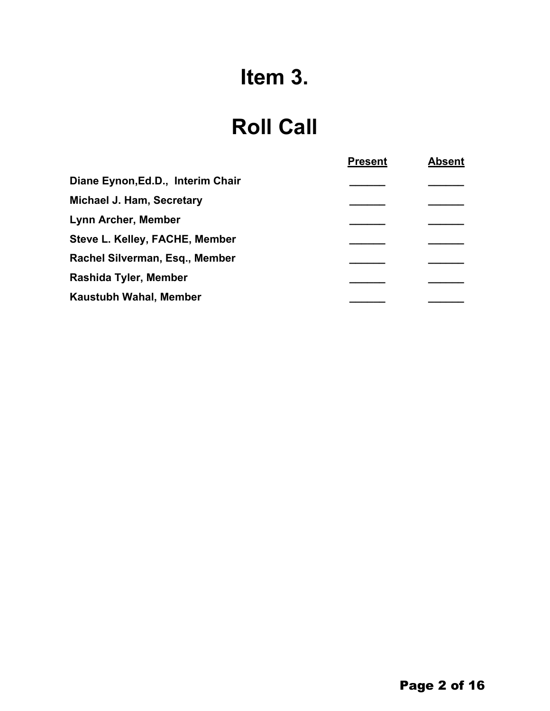## **Item 3.**

### **Roll Call**

|                                   | <b>Present</b> | <b>Absent</b> |
|-----------------------------------|----------------|---------------|
| Diane Eynon, Ed.D., Interim Chair |                |               |
| <b>Michael J. Ham, Secretary</b>  |                |               |
| <b>Lynn Archer, Member</b>        |                |               |
| Steve L. Kelley, FACHE, Member    |                |               |
| Rachel Silverman, Esq., Member    |                |               |
| Rashida Tyler, Member             |                |               |
| Kaustubh Wahal, Member            |                |               |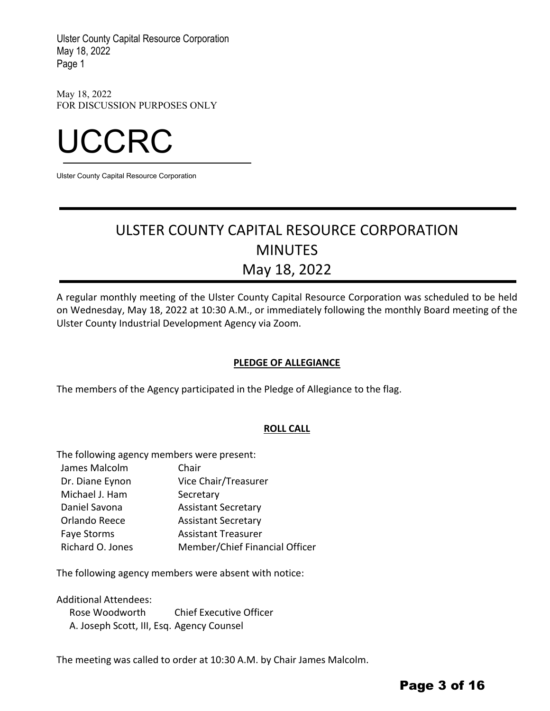May 18, 2022 FOR DISCUSSION PURPOSES ONLY



Ulster County Capital Resource Corporation

### ULSTER COUNTY CAPITAL RESOURCE CORPORATION MINUTES May 18, 2022

A regular monthly meeting of the Ulster County Capital Resource Corporation was scheduled to be held on Wednesday, May 18, 2022 at 10:30 A.M., or immediately following the monthly Board meeting of the Ulster County Industrial Development Agency via Zoom.

#### **PLEDGE OF ALLEGIANCE**

The members of the Agency participated in the Pledge of Allegiance to the flag.

#### **ROLL CALL**

The following agency members were present:

James Malcolm Dr. Diane Eynon Michael J. Ham Chair Vice Chair/Treasurer **Secretary** Daniel Savona Assistant Secretary Orlando Reece Faye Storms Assistant Secretary Assistant Treasurer Richard O. Jones Member/Chief Financial Officer

The following agency members were absent with notice:

Additional Attendees:

Rose Woodworth Chief Executive Officer A. Joseph Scott, III, Esq. Agency Counsel

The meeting was called to order at 10:30 A.M. by Chair James Malcolm.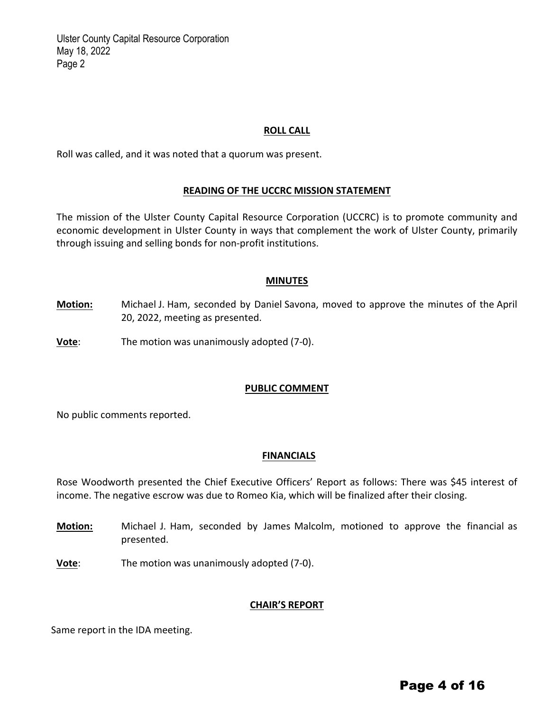#### **ROLL CALL**

Roll was called, and it was noted that a quorum was present.

#### **READING OF THE UCCRC MISSION STATEMENT**

The mission of the Ulster County Capital Resource Corporation (UCCRC) is to promote community and economic development in Ulster County in ways that complement the work of Ulster County, primarily through issuing and selling bonds for non‐profit institutions.

#### **MINUTES**

- **Motion:** Michael J. Ham, seconded by Daniel Savona, moved to approve the minutes of the April 20, 2022, meeting as presented.
- **Vote**: The motion was unanimously adopted (7-0).

#### **PUBLIC COMMENT**

No public comments reported.

#### **FINANCIALS**

Rose Woodworth presented the Chief Executive Officers' Report as follows: There was \$45 interest of income. The negative escrow was due to Romeo Kia, which will be finalized after their closing.

- **Motion:** Michael J. Ham, seconded by James Malcolm, motioned to approve the financial as presented.
- **Vote**: The motion was unanimously adopted (7‐0).

#### **CHAIR'S REPORT**

Same report in the IDA meeting.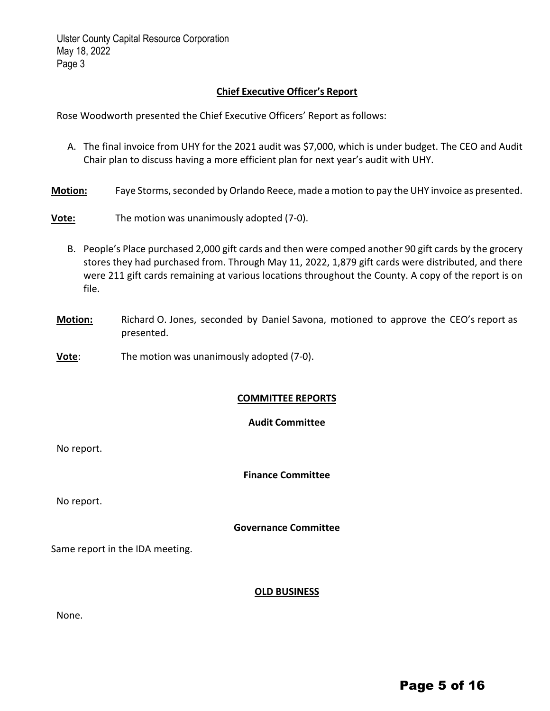#### **Chief Executive Officer's Report**

Rose Woodworth presented the Chief Executive Officers' Report as follows:

- A. The final invoice from UHY for the 2021 audit was \$7,000, which is under budget. The CEO and Audit Chair plan to discuss having a more efficient plan for next year's audit with UHY.
- **Motion:** Faye Storms, seconded by Orlando Reece, made a motion to pay the UHY invoice as presented.

**Vote:** The motion was unanimously adopted (7‐0).

- B. People's Place purchased 2,000 gift cards and then were comped another 90 gift cards by the grocery stores they had purchased from. Through May 11, 2022, 1,879 gift cards were distributed, and there were 211 gift cards remaining at various locations throughout the County. A copy of the report is on file.
- **Motion:** Richard O. Jones, seconded by Daniel Savona, motioned to approve the CEO's report as presented.
- **Vote:** The motion was unanimously adopted (7-0).

#### **COMMITTEE REPORTS**

#### **Audit Committee**

No report.

**Finance Committee**

No report.

#### **Governance Committee**

Same report in the IDA meeting.

#### **OLD BUSINESS**

| v<br>×<br>۰. |
|--------------|
|--------------|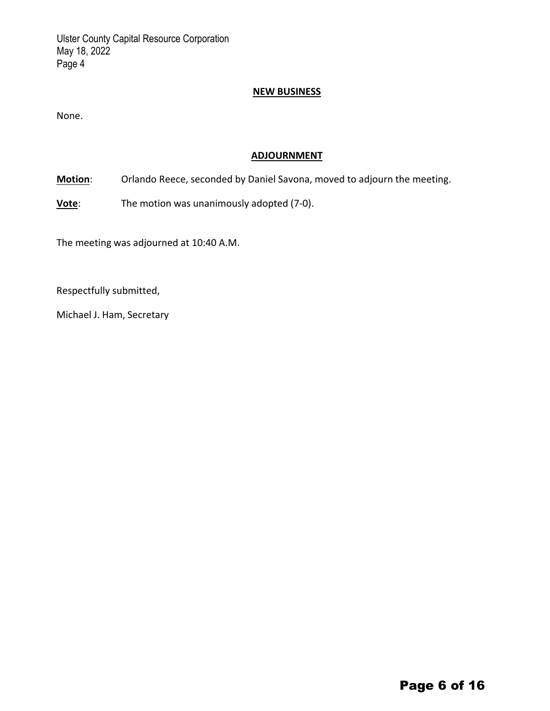#### **NEW BUSINESS**

None.

#### **ADJOURNMENT**

**Motion**: Orlando Reece, seconded by Daniel Savona, moved to adjourn the meeting.

**Vote**: The motion was unanimously adopted (7-0).

The meeting was adjourned at 10:40 A.M.

Respectfully submitted,

Michael J. Ham, Secretary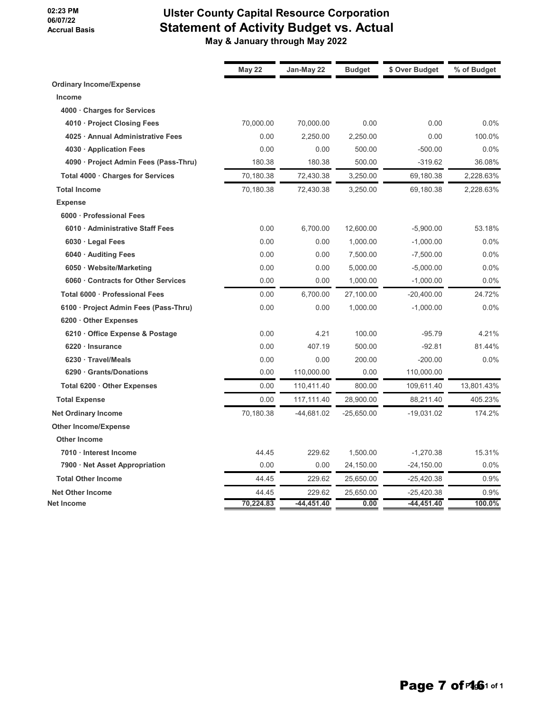#### **02:23 PM 06/07/22 Accrual Basis**

#### **Ulster County Capital Resource Corporation Statement of Activity Budget vs. Actual May & January through May 2022**

|                                       | <b>May 22</b> | Jan-May 22 | <b>Budget</b> | \$ Over Budget | % of Budget |
|---------------------------------------|---------------|------------|---------------|----------------|-------------|
| <b>Ordinary Income/Expense</b>        |               |            |               |                |             |
| Income                                |               |            |               |                |             |
| 4000 Charges for Services             |               |            |               |                |             |
| 4010 · Project Closing Fees           | 70,000.00     | 70,000.00  | 0.00          | 0.00           | 0.0%        |
| 4025 · Annual Administrative Fees     | 0.00          | 2.250.00   | 2.250.00      | 0.00           | 100.0%      |
| 4030 · Application Fees               | 0.00          | 0.00       | 500.00        | $-500.00$      | 0.0%        |
| 4090 · Project Admin Fees (Pass-Thru) | 180.38        | 180.38     | 500.00        | $-319.62$      | 36.08%      |
| Total 4000 · Charges for Services     | 70,180.38     | 72,430.38  | 3,250.00      | 69,180.38      | 2,228.63%   |
| <b>Total Income</b>                   | 70,180.38     | 72,430.38  | 3,250.00      | 69,180.38      | 2,228.63%   |
| <b>Expense</b>                        |               |            |               |                |             |
| 6000 Professional Fees                |               |            |               |                |             |
| 6010 · Administrative Staff Fees      | 0.00          | 6,700.00   | 12,600.00     | $-5,900.00$    | 53.18%      |
| 6030 · Legal Fees                     | 0.00          | 0.00       | 1,000.00      | $-1,000.00$    | 0.0%        |
| 6040 · Auditing Fees                  | 0.00          | 0.00       | 7,500.00      | $-7,500.00$    | 0.0%        |
| 6050 · Website/Marketing              | 0.00          | 0.00       | 5,000.00      | $-5,000.00$    | 0.0%        |
| 6060 Contracts for Other Services     | 0.00          | 0.00       | 1,000.00      | $-1,000.00$    | 0.0%        |
| Total 6000 · Professional Fees        | 0.00          | 6,700.00   | 27,100.00     | $-20,400.00$   | 24.72%      |
| 6100 · Project Admin Fees (Pass-Thru) | 0.00          | 0.00       | 1,000.00      | $-1,000.00$    | 0.0%        |
| 6200 Other Expenses                   |               |            |               |                |             |
| 6210 Office Expense & Postage         | 0.00          | 4.21       | 100.00        | $-95.79$       | 4.21%       |
| 6220 · Insurance                      | 0.00          | 407.19     | 500.00        | $-92.81$       | 81.44%      |
| 6230 · Travel/Meals                   | 0.00          | 0.00       | 200.00        | $-200.00$      | 0.0%        |
| 6290 Grants/Donations                 | 0.00          | 110,000.00 | 0.00          | 110,000.00     |             |
| Total 6200 · Other Expenses           | 0.00          | 110,411.40 | 800.00        | 109,611.40     | 13,801.43%  |
| <b>Total Expense</b>                  | 0.00          | 117,111.40 | 28,900.00     | 88,211.40      | 405.23%     |
| <b>Net Ordinary Income</b>            | 70,180.38     | -44,681.02 | $-25,650.00$  | $-19,031.02$   | 174.2%      |
| <b>Other Income/Expense</b>           |               |            |               |                |             |
| <b>Other Income</b>                   |               |            |               |                |             |
| 7010 · Interest Income                | 44.45         | 229.62     | 1,500.00      | $-1,270.38$    | 15.31%      |
| 7900 · Net Asset Appropriation        | 0.00          | 0.00       | 24,150.00     | $-24,150.00$   | 0.0%        |
| <b>Total Other Income</b>             | 44.45         | 229.62     | 25,650.00     | $-25,420.38$   | 0.9%        |
| <b>Net Other Income</b>               | 44.45         | 229.62     | 25,650.00     | -25,420.38     | 0.9%        |
| Net Income                            | 70,224.83     | -44,451.40 | 0.00          | -44,451.40     | 100.0%      |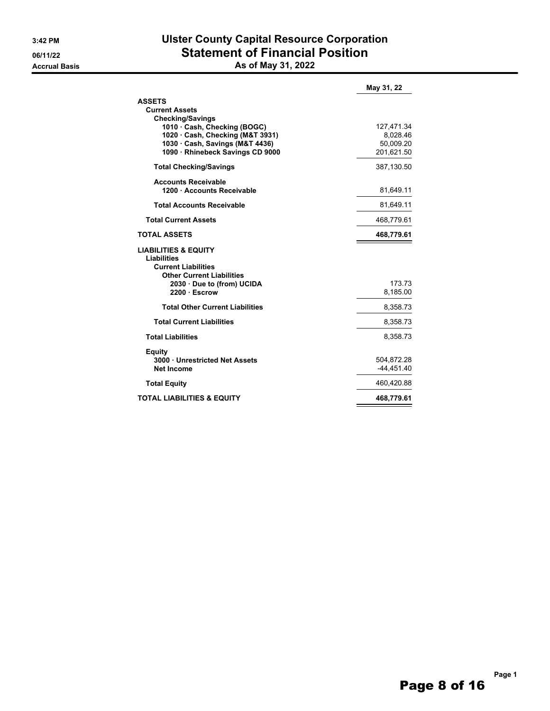#### **3:42 PM Ulster County Capital Resource Corporation 06/11/22 Statement of Financial Position Accrual Basis As of May 31, 2022**

|                                                                                     | May 31, 22   |
|-------------------------------------------------------------------------------------|--------------|
| <b>ASSETS</b>                                                                       |              |
| <b>Current Assets</b>                                                               |              |
| <b>Checking/Savings</b>                                                             |              |
| 1010 · Cash, Checking (BOGC)                                                        | 127,471.34   |
| 1020 · Cash, Checking (M&T 3931)                                                    | 8,028.46     |
| 1030 Cash, Savings (M&T 4436)                                                       | 50.009.20    |
| 1090 · Rhinebeck Savings CD 9000                                                    | 201,621.50   |
| <b>Total Checking/Savings</b>                                                       | 387,130.50   |
| <b>Accounts Receivable</b>                                                          |              |
| 1200 · Accounts Receivable                                                          | 81,649.11    |
| <b>Total Accounts Receivable</b>                                                    | 81,649.11    |
| <b>Total Current Assets</b>                                                         | 468,779.61   |
| <b>TOTAL ASSETS</b>                                                                 | 468,779.61   |
| <b>LIABILITIES &amp; EQUITY</b><br><b>Liabilities</b><br><b>Current Liabilities</b> |              |
| <b>Other Current Liabilities</b>                                                    |              |
| 2030 Due to (from) UCIDA                                                            | 173.73       |
| 2200 Escrow                                                                         | 8,185.00     |
| <b>Total Other Current Liabilities</b>                                              | 8,358.73     |
| <b>Total Current Liabilities</b>                                                    | 8,358.73     |
| <b>Total Liabilities</b>                                                            | 8,358.73     |
| Equity                                                                              |              |
| 3000 · Unrestricted Net Assets                                                      | 504,872.28   |
| Net Income                                                                          | $-44.451.40$ |
| <b>Total Equity</b>                                                                 | 460,420.88   |
| <b>TOTAL LIABILITIES &amp; EQUITY</b>                                               | 468,779.61   |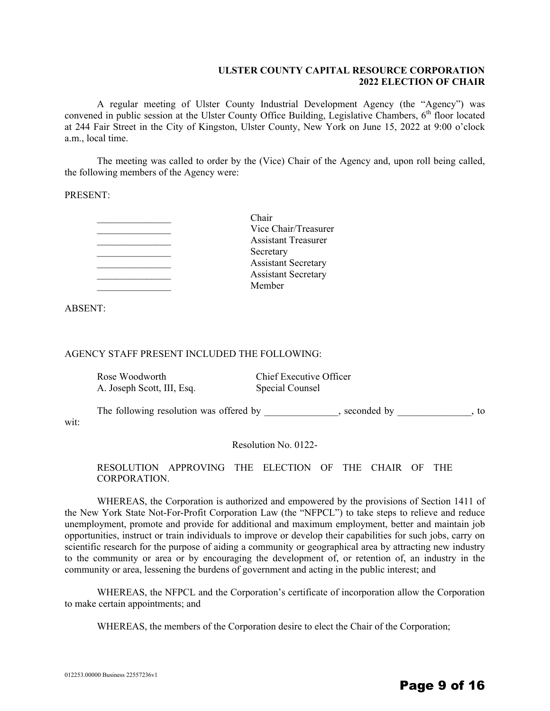#### **ULSTER COUNTY CAPITAL RESOURCE CORPORATION 2022 ELECTION OF CHAIR**

A regular meeting of Ulster County Industrial Development Agency (the "Agency") was convened in public session at the Ulster County Office Building, Legislative Chambers, 6<sup>th</sup> floor located at 244 Fair Street in the City of Kingston, Ulster County, New York on June 15, 2022 at 9:00 o'clock a.m., local time.

The meeting was called to order by the (Vice) Chair of the Agency and, upon roll being called, the following members of the Agency were:

PRESENT:

| Chair                      |
|----------------------------|
| Vice Chair/Treasurer       |
| <b>Assistant Treasurer</b> |
| Secretary                  |
| <b>Assistant Secretary</b> |
| <b>Assistant Secretary</b> |
| Member                     |

ABSENT:

#### AGENCY STAFF PRESENT INCLUDED THE FOLLOWING:

| Rose Woodworth                          | Chief Executive Officer |             |    |
|-----------------------------------------|-------------------------|-------------|----|
| A. Joseph Scott, III, Esq.              | Special Counsel         |             |    |
|                                         |                         |             |    |
| The following resolution was offered by |                         | seconded by | tο |

wit:

Resolution No. 0122-

RESOLUTION APPROVING THE ELECTION OF THE CHAIR OF THE CORPORATION.

WHEREAS, the Corporation is authorized and empowered by the provisions of Section 1411 of the New York State Not-For-Profit Corporation Law (the "NFPCL") to take steps to relieve and reduce unemployment, promote and provide for additional and maximum employment, better and maintain job opportunities, instruct or train individuals to improve or develop their capabilities for such jobs, carry on scientific research for the purpose of aiding a community or geographical area by attracting new industry to the community or area or by encouraging the development of, or retention of, an industry in the community or area, lessening the burdens of government and acting in the public interest; and

WHEREAS, the NFPCL and the Corporation's certificate of incorporation allow the Corporation to make certain appointments; and

WHEREAS, the members of the Corporation desire to elect the Chair of the Corporation;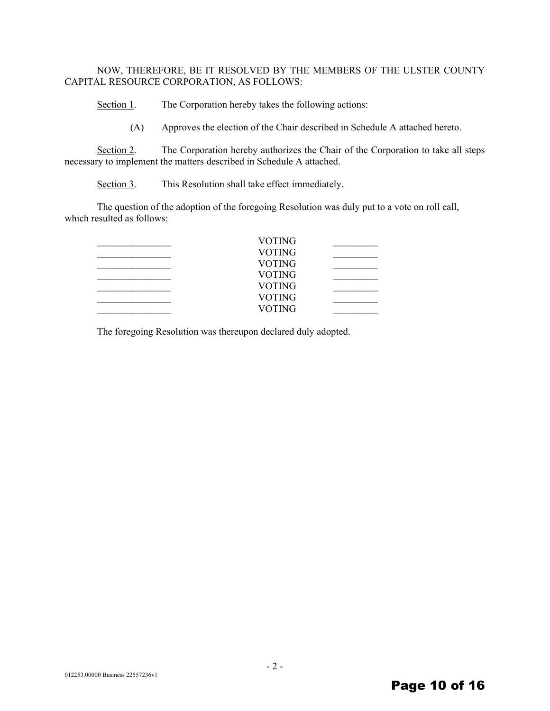#### NOW, THEREFORE, BE IT RESOLVED BY THE MEMBERS OF THE ULSTER COUNTY CAPITAL RESOURCE CORPORATION, AS FOLLOWS:

Section 1. The Corporation hereby takes the following actions:

(A) Approves the election of the Chair described in Schedule A attached hereto.

Section 2. The Corporation hereby authorizes the Chair of the Corporation to take all steps necessary to implement the matters described in Schedule A attached.

Section 3. This Resolution shall take effect immediately.

The question of the adoption of the foregoing Resolution was duly put to a vote on roll call, which resulted as follows:

| <b>VOTING</b> |  |
|---------------|--|
| <b>VOTING</b> |  |
| <b>VOTING</b> |  |
| <b>VOTING</b> |  |
| <b>VOTING</b> |  |
| <b>VOTING</b> |  |
| <b>VOTING</b> |  |
|               |  |

The foregoing Resolution was thereupon declared duly adopted.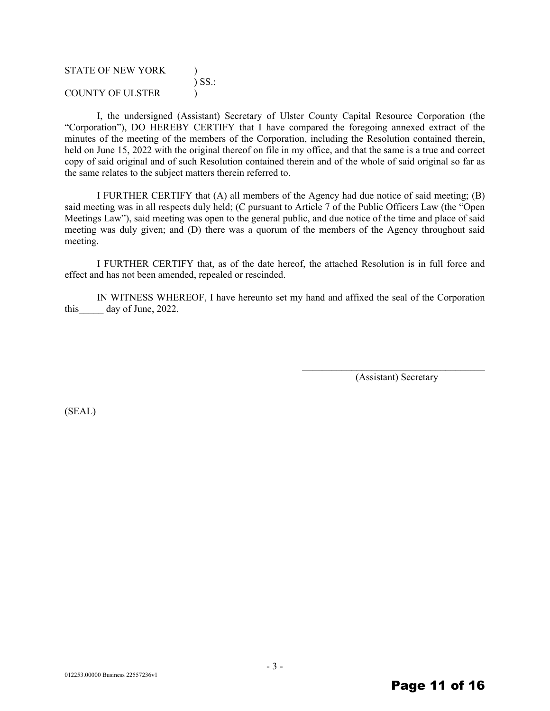| <b>STATE OF NEW YORK</b> |             |
|--------------------------|-------------|
|                          | $\sum$ SS.: |
| COUNTY OF ULSTER         |             |

I, the undersigned (Assistant) Secretary of Ulster County Capital Resource Corporation (the "Corporation"), DO HEREBY CERTIFY that I have compared the foregoing annexed extract of the minutes of the meeting of the members of the Corporation, including the Resolution contained therein, held on June 15, 2022 with the original thereof on file in my office, and that the same is a true and correct copy of said original and of such Resolution contained therein and of the whole of said original so far as the same relates to the subject matters therein referred to.

I FURTHER CERTIFY that (A) all members of the Agency had due notice of said meeting; (B) said meeting was in all respects duly held; (C pursuant to Article 7 of the Public Officers Law (the "Open Meetings Law"), said meeting was open to the general public, and due notice of the time and place of said meeting was duly given; and (D) there was a quorum of the members of the Agency throughout said meeting.

I FURTHER CERTIFY that, as of the date hereof, the attached Resolution is in full force and effect and has not been amended, repealed or rescinded.

IN WITNESS WHEREOF, I have hereunto set my hand and affixed the seal of the Corporation this day of June, 2022.

> $\mathcal{L}_\text{max}$ (Assistant) Secretary

(SEAL)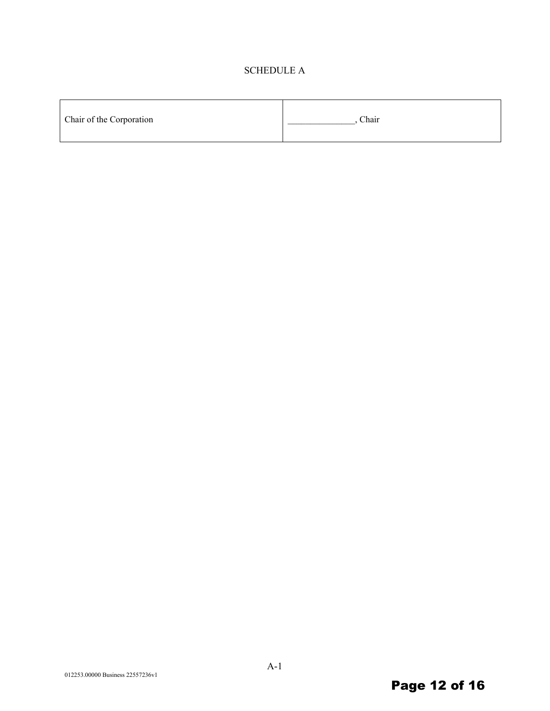#### SCHEDULE A

| Chair of the Corporation | Chair |
|--------------------------|-------|
|                          |       |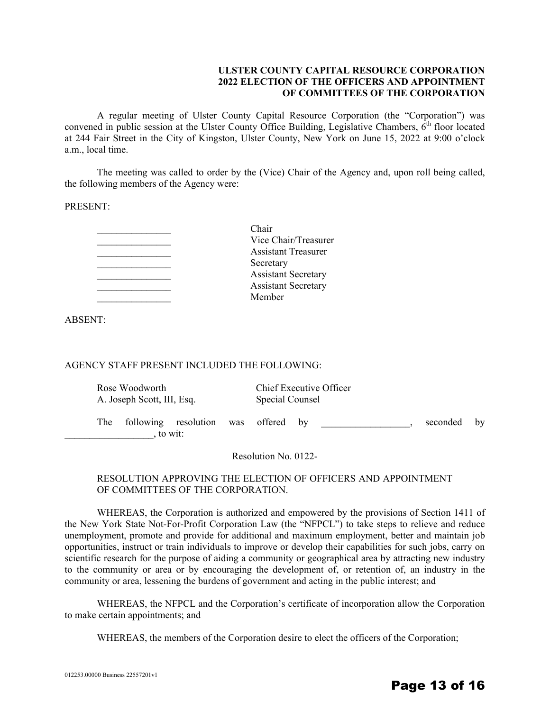#### **ULSTER COUNTY CAPITAL RESOURCE CORPORATION 2022 ELECTION OF THE OFFICERS AND APPOINTMENT OF COMMITTEES OF THE CORPORATION**

A regular meeting of Ulster County Capital Resource Corporation (the "Corporation") was convened in public session at the Ulster County Office Building, Legislative Chambers,  $6<sup>th</sup>$  floor located at 244 Fair Street in the City of Kingston, Ulster County, New York on June 15, 2022 at 9:00 o'clock a.m., local time.

The meeting was called to order by the (Vice) Chair of the Agency and, upon roll being called, the following members of the Agency were:

PRESENT:

| Chair                      |
|----------------------------|
| Vice Chair/Treasurer       |
| <b>Assistant Treasurer</b> |
| Secretary                  |
| <b>Assistant Secretary</b> |
| <b>Assistant Secretary</b> |
| Member                     |
|                            |

ABSENT:

#### AGENCY STAFF PRESENT INCLUDED THE FOLLOWING:

| Rose Woodworth<br>A. Joseph Scott, III, Esq. |                                 | Chief Executive Officer<br>Special Counsel |  |                |  |  |          |    |
|----------------------------------------------|---------------------------------|--------------------------------------------|--|----------------|--|--|----------|----|
| The                                          | following resolution<br>to wit: |                                            |  | was offered by |  |  | seconded | by |

Resolution No. 0122-

#### RESOLUTION APPROVING THE ELECTION OF OFFICERS AND APPOINTMENT OF COMMITTEES OF THE CORPORATION.

WHEREAS, the Corporation is authorized and empowered by the provisions of Section 1411 of the New York State Not-For-Profit Corporation Law (the "NFPCL") to take steps to relieve and reduce unemployment, promote and provide for additional and maximum employment, better and maintain job opportunities, instruct or train individuals to improve or develop their capabilities for such jobs, carry on scientific research for the purpose of aiding a community or geographical area by attracting new industry to the community or area or by encouraging the development of, or retention of, an industry in the community or area, lessening the burdens of government and acting in the public interest; and

WHEREAS, the NFPCL and the Corporation's certificate of incorporation allow the Corporation to make certain appointments; and

WHEREAS, the members of the Corporation desire to elect the officers of the Corporation;

#### Page 13 of 16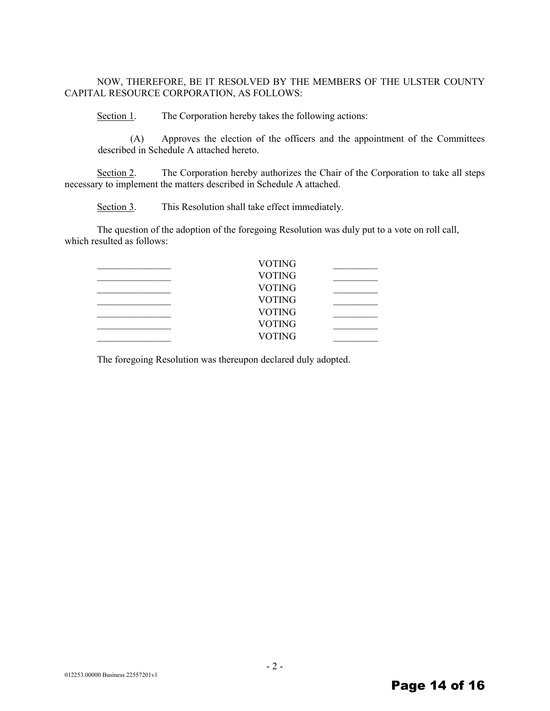#### NOW, THEREFORE, BE IT RESOLVED BY THE MEMBERS OF THE ULSTER COUNTY CAPITAL RESOURCE CORPORATION, AS FOLLOWS:

Section 1. The Corporation hereby takes the following actions:

(A) Approves the election of the officers and the appointment of the Committees described in Schedule A attached hereto.

Section 2. The Corporation hereby authorizes the Chair of the Corporation to take all steps necessary to implement the matters described in Schedule A attached.

Section 3. This Resolution shall take effect immediately.

The question of the adoption of the foregoing Resolution was duly put to a vote on roll call, which resulted as follows:

| <b>VOTING</b> |  |
|---------------|--|
| <b>VOTING</b> |  |
| <b>VOTING</b> |  |
| <b>VOTING</b> |  |
| <b>VOTING</b> |  |
| <b>VOTING</b> |  |
| <b>VOTING</b> |  |
|               |  |

The foregoing Resolution was thereupon declared duly adopted.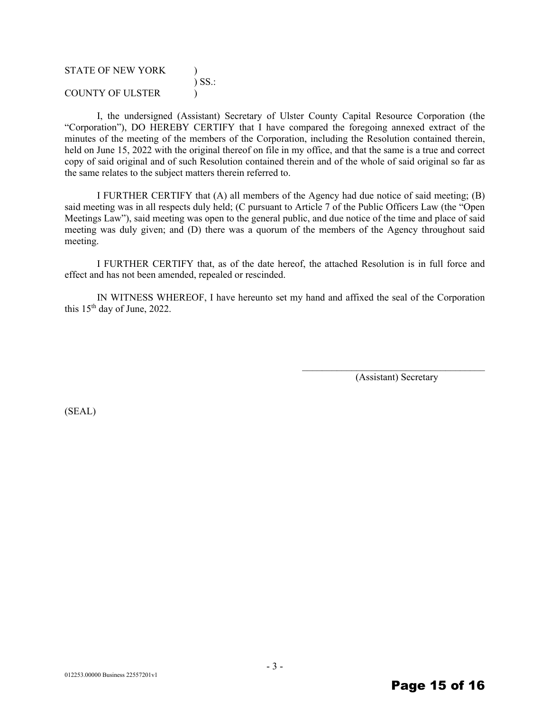| <b>STATE OF NEW YORK</b> |             |
|--------------------------|-------------|
|                          | $\sum$ SS.: |
| COUNTY OF ULSTER         |             |

I, the undersigned (Assistant) Secretary of Ulster County Capital Resource Corporation (the "Corporation"), DO HEREBY CERTIFY that I have compared the foregoing annexed extract of the minutes of the meeting of the members of the Corporation, including the Resolution contained therein, held on June 15, 2022 with the original thereof on file in my office, and that the same is a true and correct copy of said original and of such Resolution contained therein and of the whole of said original so far as the same relates to the subject matters therein referred to.

I FURTHER CERTIFY that (A) all members of the Agency had due notice of said meeting; (B) said meeting was in all respects duly held; (C pursuant to Article 7 of the Public Officers Law (the "Open Meetings Law"), said meeting was open to the general public, and due notice of the time and place of said meeting was duly given; and (D) there was a quorum of the members of the Agency throughout said meeting.

I FURTHER CERTIFY that, as of the date hereof, the attached Resolution is in full force and effect and has not been amended, repealed or rescinded.

IN WITNESS WHEREOF, I have hereunto set my hand and affixed the seal of the Corporation this  $15<sup>th</sup>$  day of June, 2022.

> \_\_\_\_\_\_\_\_\_\_\_\_\_\_\_\_\_\_\_\_\_\_\_\_\_\_\_\_\_\_\_\_\_\_\_\_\_ (Assistant) Secretary

(SEAL)